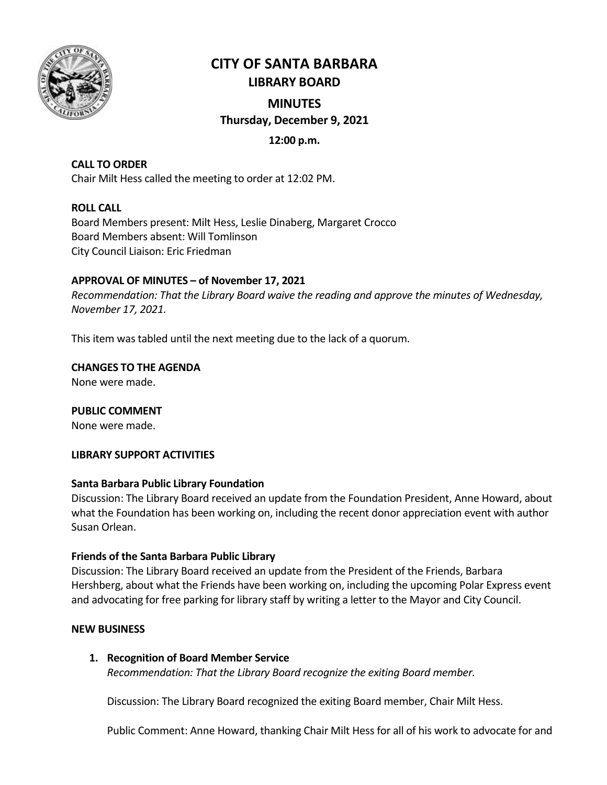

# **CITY OF SANTA BARBARA LIBRARY BOARD**

## **MINUTES Thursday, December 9, 2021**

## **12:00 p.m.**

## **CALL TO ORDER**

Chair Milt Hess called the meeting to order at 12:02 PM.

## **ROLL CALL**

Board Members present: Milt Hess, Leslie Dinaberg, Margaret Crocco Board Members absent: Will Tomlinson City Council Liaison: Eric Friedman

## **APPROVAL OF MINUTES – of November 17, 2021**

*Recommendation: That the Library Board waive the reading and approve the minutes of Wednesday, November 17, 2021.*

This item was tabled until the next meeting due to the lack of a quorum.

**CHANGES TO THE AGENDA**

None were made.

**PUBLIC COMMENT** None were made.

#### **LIBRARY SUPPORT ACTIVITIES**

#### **Santa Barbara Public Library Foundation**

Discussion: The Library Board received an update from the Foundation President, Anne Howard, about what the Foundation has been working on, including the recent donor appreciation event with author Susan Orlean.

#### **Friends of the Santa Barbara Public Library**

Discussion: The Library Board received an update from the President of the Friends, Barbara Hershberg, about what the Friends have been working on, including the upcoming Polar Express event and advocating for free parking for library staff by writing a letter to the Mayor and City Council.

#### **NEW BUSINESS**

#### **1. Recognition of Board Member Service**

*Recommendation: That the Library Board recognize the exiting Board member.*

Discussion: The Library Board recognized the exiting Board member, Chair Milt Hess.

Public Comment: Anne Howard, thanking Chair Milt Hess for all of his work to advocate for and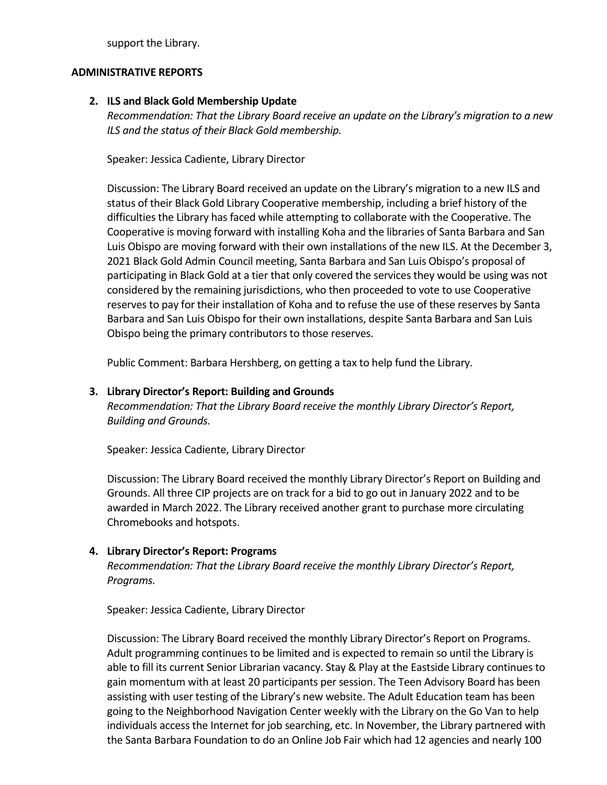support the Library.

#### **ADMINISTRATIVE REPORTS**

#### **2. ILS and Black Gold Membership Update**

*Recommendation: That the Library Board receive an update on the Library's migration to a new ILS and the status of their Black Gold membership.*

Speaker: Jessica Cadiente, Library Director

Discussion: The Library Board received an update on the Library's migration to a new ILS and status of their Black Gold Library Cooperative membership, including a brief history of the difficulties the Library has faced while attempting to collaborate with the Cooperative. The Cooperative is moving forward with installing Koha and the libraries of Santa Barbara and San Luis Obispo are moving forward with their own installations of the new ILS. At the December 3, 2021 Black Gold Admin Council meeting, Santa Barbara and San Luis Obispo's proposal of participating in Black Gold at a tier that only covered the services they would be using was not considered by the remaining jurisdictions, who then proceeded to vote to use Cooperative reserves to pay for their installation of Koha and to refuse the use of these reserves by Santa Barbara and San Luis Obispo for their own installations, despite Santa Barbara and San Luis Obispo being the primary contributors to those reserves.

Public Comment: Barbara Hershberg, on getting a tax to help fund the Library.

## **3. Library Director's Report: Building and Grounds**

*Recommendation: That the Library Board receive the monthly Library Director's Report, Building and Grounds.*

Speaker: Jessica Cadiente, Library Director

Discussion: The Library Board received the monthly Library Director's Report on Building and Grounds. All three CIP projects are on track for a bid to go out in January 2022 and to be awarded in March 2022. The Library received another grant to purchase more circulating Chromebooks and hotspots.

## **4. Library Director's Report: Programs**

*Recommendation: That the Library Board receive the monthly Library Director's Report, Programs.*

Speaker: Jessica Cadiente, Library Director

Discussion: The Library Board received the monthly Library Director's Report on Programs. Adult programming continues to be limited and is expected to remain so until the Library is able to fill its current Senior Librarian vacancy. Stay & Play at the Eastside Library continues to gain momentum with at least 20 participants per session. The Teen Advisory Board has been assisting with user testing of the Library's new website. The Adult Education team has been going to the Neighborhood Navigation Center weekly with the Library on the Go Van to help individuals access the Internet for job searching, etc. In November, the Library partnered with the Santa Barbara Foundation to do an Online Job Fair which had 12 agencies and nearly 100